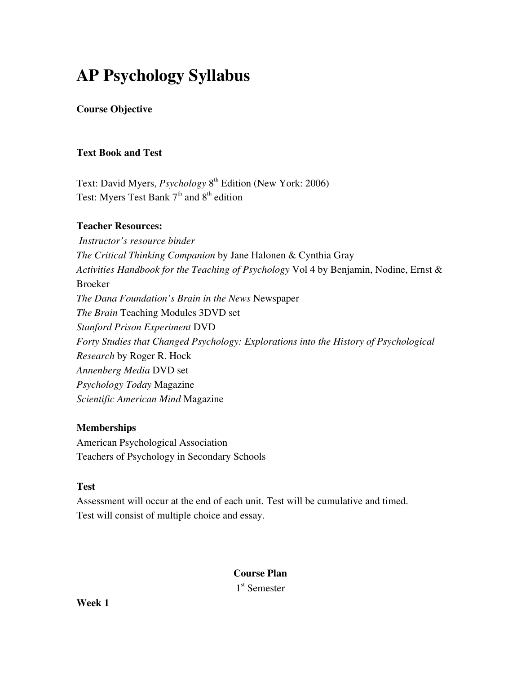# AP Psychology Syllabus

## Course Objective

## Text Book and Test

Text: David Myers, *Psychology* 8<sup>th</sup> Edition (New York: 2006) Test: Myers Test Bank  $7<sup>th</sup>$  and  $8<sup>th</sup>$  edition

#### Teacher Resources:

 *Instructor's resource binder The Critical Thinking Companion* by Jane Halonen & Cynthia Gray *Activities Handbook for the Teaching of Psychology* Vol 4 by Benjamin, Nodine, Ernst & Broeker *The Dana Foundation's Brain in the News* Newspaper *The Brain* Teaching Modules 3DVD set *Stanford Prison Experiment* DVD *Forty Studies that Changed Psychology: Explorations into the History of Psychological Research* by Roger R. Hock *Annenberg Media* DVD set *Psychology Today* Magazine *Scientific American Mind* Magazine

## **Memberships**

American Psychological Association Teachers of Psychology in Secondary Schools

## **Test**

Assessment will occur at the end of each unit. Test will be cumulative and timed. Test will consist of multiple choice and essay.

> Course Plan 1 st Semester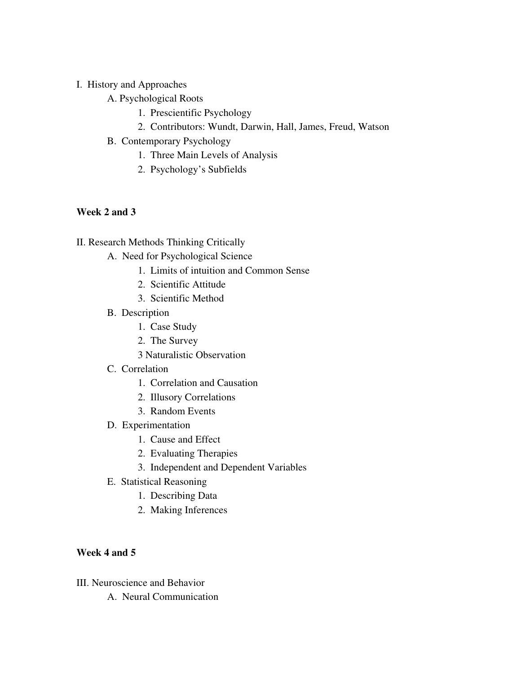## I. History and Approaches

- A. Psychological Roots
	- 1. Prescientific Psychology
	- 2. Contributors: Wundt, Darwin, Hall, James, Freud, Watson
- B. Contemporary Psychology
	- 1. Three Main Levels of Analysis
	- 2. Psychology's Subfields

## Week 2 and 3

#### II. Research Methods Thinking Critically

- A. Need for Psychological Science
	- 1. Limits of intuition and Common Sense
	- 2. Scientific Attitude
	- 3. Scientific Method
- B. Description
	- 1. Case Study
	- 2. The Survey
	- 3 Naturalistic Observation

#### C. Correlation

- 1. Correlation and Causation
- 2. Illusory Correlations
- 3. Random Events
- D. Experimentation
	- 1. Cause and Effect
	- 2. Evaluating Therapies
	- 3. Independent and Dependent Variables
- E. Statistical Reasoning
	- 1. Describing Data
	- 2. Making Inferences

## Week 4 and 5

- III. Neuroscience and Behavior
	- A. Neural Communication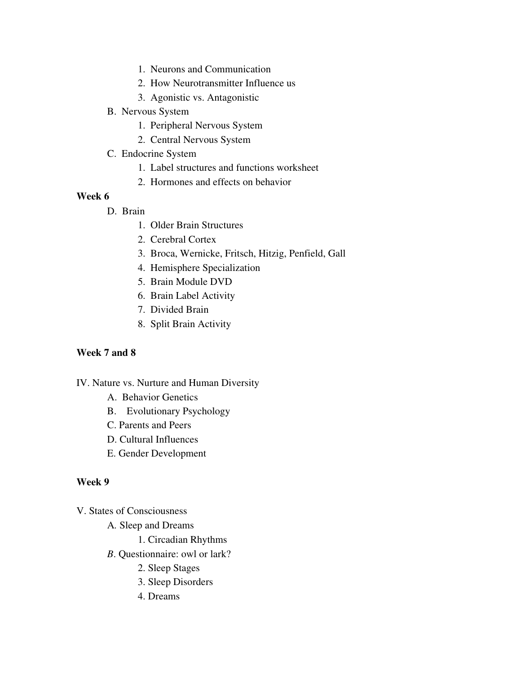- 1. Neurons and Communication
- 2. How Neurotransmitter Influence us
- 3. Agonistic vs. Antagonistic
- B. Nervous System
	- 1. Peripheral Nervous System
	- 2. Central Nervous System
- C. Endocrine System
	- 1. Label structures and functions worksheet
	- 2. Hormones and effects on behavior

- D. Brain
	- 1. Older Brain Structures
	- 2. Cerebral Cortex
	- 3. Broca, Wernicke, Fritsch, Hitzig, Penfield, Gall
	- 4. Hemisphere Specialization
	- 5. Brain Module DVD
	- 6. Brain Label Activity
	- 7. Divided Brain
	- 8. Split Brain Activity

#### Week 7 and 8

#### IV. Nature vs. Nurture and Human Diversity

- A. Behavior Genetics
- B. Evolutionary Psychology
- C. Parents and Peers
- D. Cultural Influences
- E. Gender Development

#### Week 9

V. States of Consciousness

- A*.* Sleep and Dreams
	- 1. Circadian Rhythms
- *B*. Questionnaire: owl or lark?
	- 2. Sleep Stages
	- 3. Sleep Disorders
	- 4. Dreams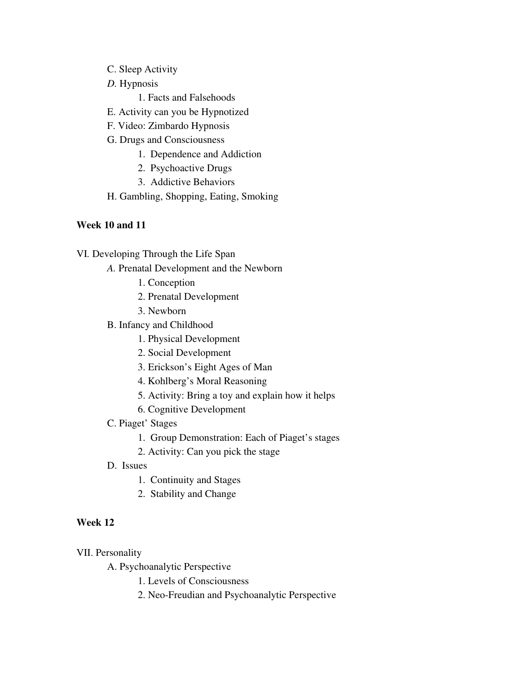- C. Sleep Activity
- *D.* Hypnosis

1. Facts and Falsehoods

- E. Activity can you be Hypnotized
- F. Video: Zimbardo Hypnosis
- G. Drugs and Consciousness
	- 1. Dependence and Addiction
	- 2. Psychoactive Drugs
	- 3. Addictive Behaviors
- H. Gambling, Shopping, Eating, Smoking

#### Week 10 and 11

- VI*.* Developing Through the Life Span
	- *A.* Prenatal Development and the Newborn
		- 1. Conception
		- 2. Prenatal Development
		- 3. Newborn
	- B. Infancy and Childhood
		- 1. Physical Development
		- 2. Social Development
		- 3. Erickson's Eight Ages of Man
		- 4. Kohlberg's Moral Reasoning
		- 5. Activity: Bring a toy and explain how it helps
		- 6. Cognitive Development
	- C. Piaget' Stages
		- 1. Group Demonstration: Each of Piaget's stages
		- 2. Activity: Can you pick the stage
	- D. Issues
		- 1. Continuity and Stages
		- 2. Stability and Change

#### Week 12

VII. Personality

A. Psychoanalytic Perspective

- 1. Levels of Consciousness
- 2. Neo-Freudian and Psychoanalytic Perspective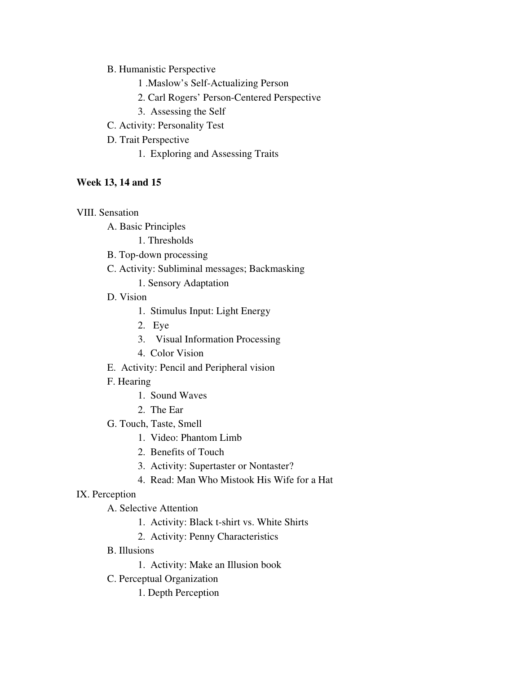B. Humanistic Perspective

- 1 .Maslow's Self-Actualizing Person
- 2. Carl Rogers' Person-Centered Perspective
- 3. Assessing the Self
- C. Activity: Personality Test
- D. Trait Perspective
	- 1. Exploring and Assessing Traits

## Week 13, 14 and 15

## VIII. Sensation

- A. Basic Principles
	- 1. Thresholds
- B. Top-down processing
- C. Activity: Subliminal messages; Backmasking
	- 1. Sensory Adaptation
- D. Vision
	- 1. Stimulus Input: Light Energy
	- 2. Eye
	- 3. Visual Information Processing
	- 4. Color Vision
- E. Activity: Pencil and Peripheral vision
- F. Hearing
	- 1. Sound Waves
	- 2. The Ear
- G. Touch, Taste, Smell
	- 1. Video: Phantom Limb
	- 2. Benefits of Touch
	- 3. Activity: Supertaster or Nontaster?
	- 4. Read: Man Who Mistook His Wife for a Hat

## IX. Perception

- A. Selective Attention
	- 1. Activity: Black t-shirt vs. White Shirts
	- 2. Activity: Penny Characteristics
- B. Illusions
	- 1. Activity: Make an Illusion book
- C. Perceptual Organization
	- 1. Depth Perception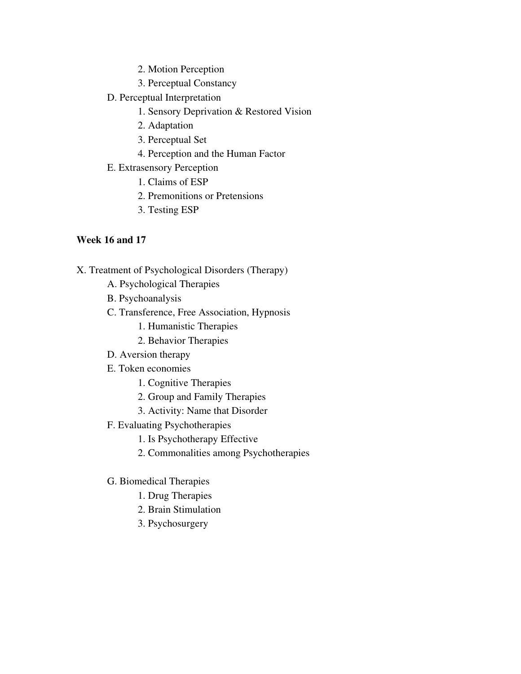- 2. Motion Perception
- 3. Perceptual Constancy
- D. Perceptual Interpretation
	- 1. Sensory Deprivation & Restored Vision
	- 2. Adaptation
	- 3. Perceptual Set
	- 4. Perception and the Human Factor
- E. Extrasensory Perception
	- 1. Claims of ESP
	- 2. Premonitions or Pretensions
	- 3. Testing ESP

#### Week 16 and 17

- X. Treatment of Psychological Disorders (Therapy)
	- A. Psychological Therapies
	- B. Psychoanalysis
	- C. Transference, Free Association, Hypnosis
		- 1. Humanistic Therapies
		- 2. Behavior Therapies
	- D. Aversion therapy
	- E. Token economies
		- 1. Cognitive Therapies
		- 2. Group and Family Therapies
		- 3. Activity: Name that Disorder
	- F. Evaluating Psychotherapies
		- 1. Is Psychotherapy Effective
		- 2. Commonalities among Psychotherapies

#### G. Biomedical Therapies

- 1. Drug Therapies
- 2. Brain Stimulation
- 3. Psychosurgery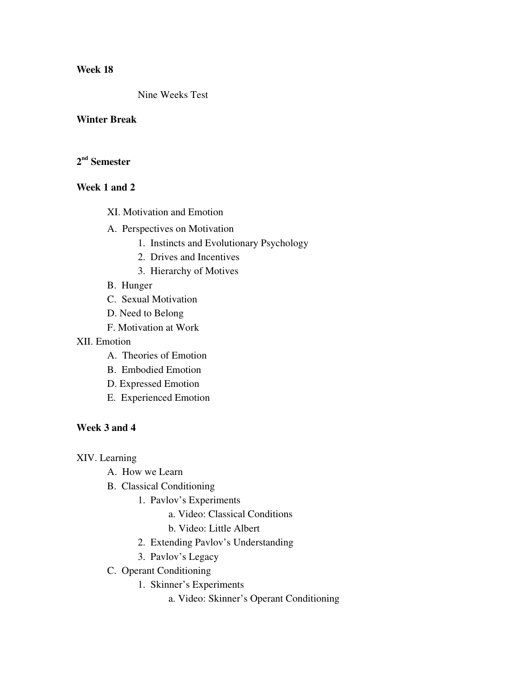Nine Weeks Test

#### Winter Break

## $2^{\rm nd}$  Semester

## Week 1 and 2

- XI. Motivation and Emotion
- A. Perspectives on Motivation
	- 1. Instincts and Evolutionary Psychology
	- 2. Drives and Incentives
	- 3. Hierarchy of Motives
- B. Hunger
- C. Sexual Motivation
- D. Need to Belong
- F. Motivation at Work

## XII. Emotion

- A. Theories of Emotion
- B. Embodied Emotion
- D. Expressed Emotion
- E. Experienced Emotion

#### Week 3 and 4

#### XIV. Learning

- A. How we Learn
- B. Classical Conditioning
	- 1. Pavlov's Experiments
		- a. Video: Classical Conditions
		- b. Video: Little Albert
	- 2. Extending Pavlov's Understanding
	- 3. Pavlov's Legacy
- C. Operant Conditioning
	- 1. Skinner's Experiments
		- a. Video: Skinner's Operant Conditioning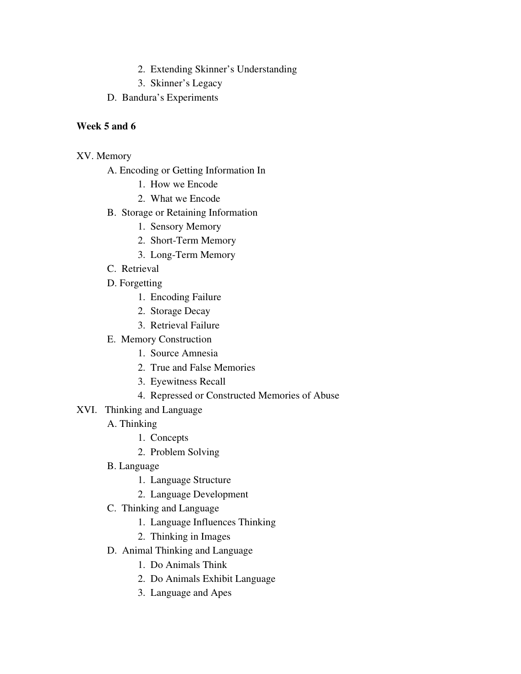- 2. Extending Skinner's Understanding
- 3. Skinner's Legacy
- D. Bandura's Experiments

## Week 5 and 6

## XV. Memory

- A. Encoding or Getting Information In
	- 1. How we Encode
	- 2. What we Encode
- B. Storage or Retaining Information
	- 1. Sensory Memory
	- 2. Short-Term Memory
	- 3. Long-Term Memory
- C. Retrieval
- D. Forgetting
	- 1. Encoding Failure
	- 2. Storage Decay
	- 3. Retrieval Failure
- E. Memory Construction
	- 1. Source Amnesia
	- 2. True and False Memories
	- 3. Eyewitness Recall
	- 4. Repressed or Constructed Memories of Abuse
- XVI. Thinking and Language
	- A. Thinking
		- 1. Concepts
		- 2. Problem Solving
	- B. Language
		- 1. Language Structure
		- 2. Language Development
	- C. Thinking and Language
		- 1. Language Influences Thinking
		- 2. Thinking in Images
	- D. Animal Thinking and Language
		- 1. Do Animals Think
		- 2. Do Animals Exhibit Language
		- 3. Language and Apes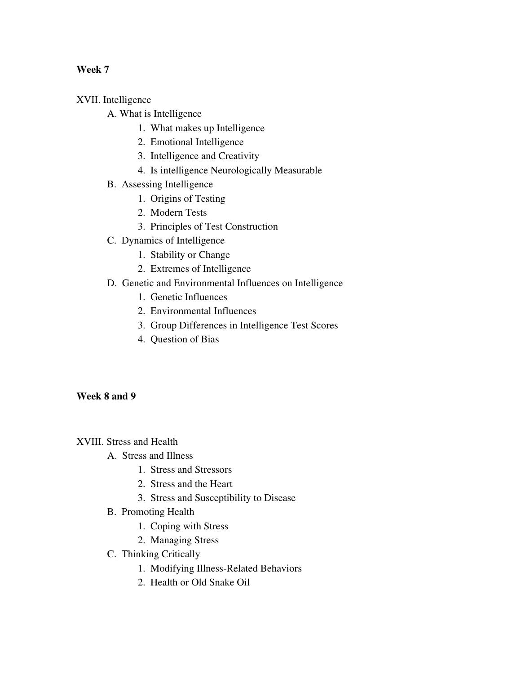XVII. Intelligence

- A. What is Intelligence
	- 1. What makes up Intelligence
	- 2. Emotional Intelligence
	- 3. Intelligence and Creativity
	- 4. Is intelligence Neurologically Measurable
- B. Assessing Intelligence
	- 1. Origins of Testing
	- 2. Modern Tests
	- 3. Principles of Test Construction
- C. Dynamics of Intelligence
	- 1. Stability or Change
	- 2. Extremes of Intelligence
- D. Genetic and Environmental Influences on Intelligence
	- 1. Genetic Influences
	- 2. Environmental Influences
	- 3. Group Differences in Intelligence Test Scores
	- 4. Question of Bias

#### Week 8 and 9

XVIII. Stress and Health

- A. Stress and Illness
	- 1. Stress and Stressors
	- 2. Stress and the Heart
	- 3. Stress and Susceptibility to Disease
- B. Promoting Health
	- 1. Coping with Stress
	- 2. Managing Stress
- C. Thinking Critically
	- 1. Modifying Illness-Related Behaviors
	- 2. Health or Old Snake Oil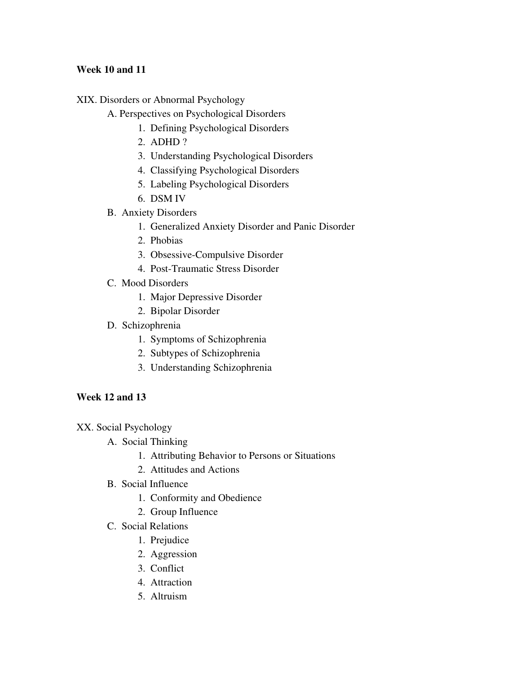## Week 10 and 11

- XIX. Disorders or Abnormal Psychology
	- A. Perspectives on Psychological Disorders
		- 1. Defining Psychological Disorders
		- 2. ADHD ?
		- 3. Understanding Psychological Disorders
		- 4. Classifying Psychological Disorders
		- 5. Labeling Psychological Disorders
		- 6. DSM IV
	- B. Anxiety Disorders
		- 1. Generalized Anxiety Disorder and Panic Disorder
		- 2. Phobias
		- 3. Obsessive-Compulsive Disorder
		- 4. Post-Traumatic Stress Disorder
	- C. Mood Disorders
		- 1. Major Depressive Disorder
		- 2. Bipolar Disorder
	- D. Schizophrenia
		- 1. Symptoms of Schizophrenia
		- 2. Subtypes of Schizophrenia
		- 3. Understanding Schizophrenia

# Week 12 and 13

- XX. Social Psychology
	- A. Social Thinking
		- 1. Attributing Behavior to Persons or Situations
		- 2. Attitudes and Actions
	- B. Social Influence
		- 1. Conformity and Obedience
		- 2. Group Influence
	- C. Social Relations
		- 1. Prejudice
		- 2. Aggression
		- 3. Conflict
		- 4. Attraction
		- 5. Altruism